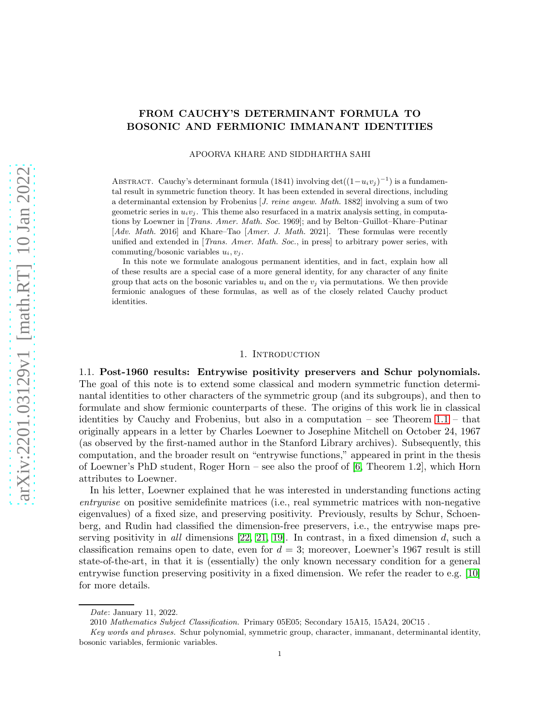# FROM CAUCHY'S DETERMINANT FORMULA TO BOSONIC AND FERMIONIC IMMANANT IDENTITIES

APOORVA KHARE AND SIDDHARTHA SAHI

ABSTRACT. Cauchy's determinant formula (1841) involving  $\det((1-u_iv_j)^{-1})$  is a fundamental result in symmetric function theory. It has been extended in several directions, including a determinantal extension by Frobenius [J. reine angew. Math. 1882] involving a sum of two geometric series in  $u_i v_j$ . This theme also resurfaced in a matrix analysis setting, in computations by Loewner in [Trans. Amer. Math. Soc. 1969]; and by Belton–Guillot–Khare–Putinar [Adv. Math. 2016] and Khare–Tao [Amer. J. Math. 2021]. These formulas were recently unified and extended in [*Trans. Amer. Math. Soc.*, in press] to arbitrary power series, with commuting/bosonic variables  $u_i, v_j$ .

In this note we formulate analogous permanent identities, and in fact, explain how all of these results are a special case of a more general identity, for any character of any finite group that acts on the bosonic variables  $u_i$  and on the  $v_j$  via permutations. We then provide fermionic analogues of these formulas, as well as of the closely related Cauchy product identities.

### 1. INTRODUCTION

<span id="page-0-0"></span>1.1. Post-1960 results: Entrywise positivity preservers and Schur polynomials. The goal of this note is to extend some classical and modern symmetric function determinantal identities to other characters of the symmetric group (and its subgroups), and then to formulate and show fermionic counterparts of these. The origins of this work lie in classical identities by Cauchy and Frobenius, but also in a computation – see Theorem [1.1](#page-1-0) – that originally appears in a letter by Charles Loewner to Josephine Mitchell on October 24, 1967 (as observed by the first-named author in the Stanford Library archives). Subsequently, this computation, and the broader result on "entrywise functions," appeared in print in the thesis of Loewner's PhD student, Roger Horn – see also the proof of [\[6,](#page-10-0) Theorem 1.2], which Horn attributes to Loewner.

In his letter, Loewner explained that he was interested in understanding functions acting entrywise on positive semidefinite matrices (i.e., real symmetric matrices with non-negative eigenvalues) of a fixed size, and preserving positivity. Previously, results by Schur, Schoenberg, and Rudin had classified the dimension-free preservers, i.e., the entrywise maps preserving positivity in all dimensions  $[22, 21, 19]$  $[22, 21, 19]$  $[22, 21, 19]$ . In contrast, in a fixed dimension d, such a classification remains open to date, even for  $d = 3$ ; moreover, Loewner's 1967 result is still state-of-the-art, in that it is (essentially) the only known necessary condition for a general entrywise function preserving positivity in a fixed dimension. We refer the reader to e.g. [\[10\]](#page-10-4) for more details.

Date: January 11, 2022.

<sup>2010</sup> Mathematics Subject Classification. Primary 05E05; Secondary 15A15, 15A24, 20C15 .

Key words and phrases. Schur polynomial, symmetric group, character, immanant, determinantal identity, bosonic variables, fermionic variables.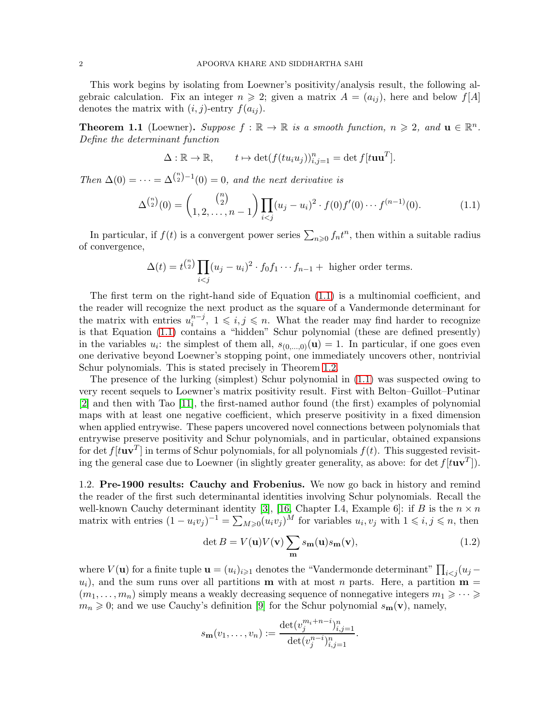This work begins by isolating from Loewner's positivity/analysis result, the following algebraic calculation. Fix an integer  $n \geq 2$ ; given a matrix  $A = (a_{ij})$ , here and below  $f[A]$ denotes the matrix with  $(i, j)$ -entry  $f(a_{ij})$ .

<span id="page-1-0"></span>**Theorem 1.1** (Loewner). Suppose  $f : \mathbb{R} \to \mathbb{R}$  is a smooth function,  $n \geq 2$ , and  $\mathbf{u} \in \mathbb{R}^n$ . Define the determinant function

$$
\Delta : \mathbb{R} \to \mathbb{R}, \qquad t \mapsto \det(f(tu_i u_j))_{i,j=1}^n = \det f[tuu^T].
$$

Then  $\Delta(0) = \cdots = \Delta^{n \choose 2} - 1(0) = 0$ , and the next derivative is

<span id="page-1-1"></span>
$$
\Delta^{\binom{n}{2}}(0) = \binom{\binom{n}{2}}{1, 2, \dots, n-1} \prod_{i < j} (u_j - u_i)^2 \cdot f(0) f'(0) \cdots f^{(n-1)}(0). \tag{1.1}
$$

In particular, if  $f(t)$  is a convergent power series  $\sum_{n\geqslant 0} f_n t^n$ , then within a suitable radius of convergence,

$$
\Delta(t) = t^{\binom{n}{2}} \prod_{i < j} (u_j - u_i)^2 \cdot f_0 f_1 \cdots f_{n-1} + \text{ higher order terms.}
$$

The first term on the right-hand side of Equation [\(1.1\)](#page-1-1) is a multinomial coefficient, and the reader will recognize the next product as the square of a Vandermonde determinant for the matrix with entries  $u_i^{n-j}$  $i^{n-j}$ ,  $1 \leq i, j \leq n$ . What the reader may find harder to recognize is that Equation [\(1.1\)](#page-1-1) contains a "hidden" Schur polynomial (these are defined presently) in the variables  $u_i$ : the simplest of them all,  $s_{(0,...,0)}(\mathbf{u}) = 1$ . In particular, if one goes even one derivative beyond Loewner's stopping point, one immediately uncovers other, nontrivial Schur polynomials. This is stated precisely in Theorem [1.2.](#page-2-0)

The presence of the lurking (simplest) Schur polynomial in [\(1.1\)](#page-1-1) was suspected owing to very recent sequels to Loewner's matrix positivity result. First with Belton–Guillot–Putinar [\[2\]](#page-10-5) and then with Tao [\[11\]](#page-10-6), the first-named author found (the first) examples of polynomial maps with at least one negative coefficient, which preserve positivity in a fixed dimension when applied entrywise. These papers uncovered novel connections between polynomials that entrywise preserve positivity and Schur polynomials, and in particular, obtained expansions for det  $f[tuv^T]$  in terms of Schur polynomials, for all polynomials  $f(t)$ . This suggested revisiting the general case due to Loewner (in slightly greater generality, as above: for det  $f[tuv^T]$ ).

1.2. Pre-1900 results: Cauchy and Frobenius. We now go back in history and remind the reader of the first such determinantal identities involving Schur polynomials. Recall the well-known Cauchy determinant identity [\[3\]](#page-10-7), [\[16,](#page-10-8) Chapter I.4, Example 6]: if B is the  $n \times n$ matrix with entries  $(1 - u_i v_j)^{-1} = \sum_{M \geq 0} (u_i v_j)^M$  for variables  $u_i, v_j$  with  $1 \leqslant i, j \leqslant n$ , then

<span id="page-1-2"></span>
$$
\det B = V(\mathbf{u})V(\mathbf{v})\sum_{\mathbf{m}} s_{\mathbf{m}}(\mathbf{u})s_{\mathbf{m}}(\mathbf{v}),\tag{1.2}
$$

where  $V(\mathbf{u})$  for a finite tuple  $\mathbf{u} = (u_i)_{i \geq 1}$  denotes the "Vandermonde determinant"  $\prod_{i < j} (u_j u_i$ ), and the sum runs over all partitions **m** with at most n parts. Here, a partition **m** =  $(m_1, \ldots, m_n)$  simply means a weakly decreasing sequence of nonnegative integers  $m_1 \geqslant \cdots \geqslant$  $m_n \geqslant 0$ ; and we use Cauchy's definition [\[9\]](#page-10-9) for the Schur polynomial  $s_m(\mathbf{v})$ , namely,

$$
s_{\mathbf{m}}(v_1,\ldots,v_n) := \frac{\det(v_j^{m_i+n-i})_{i,j=1}^n}{\det(v_j^{n-i})_{i,j=1}^n}.
$$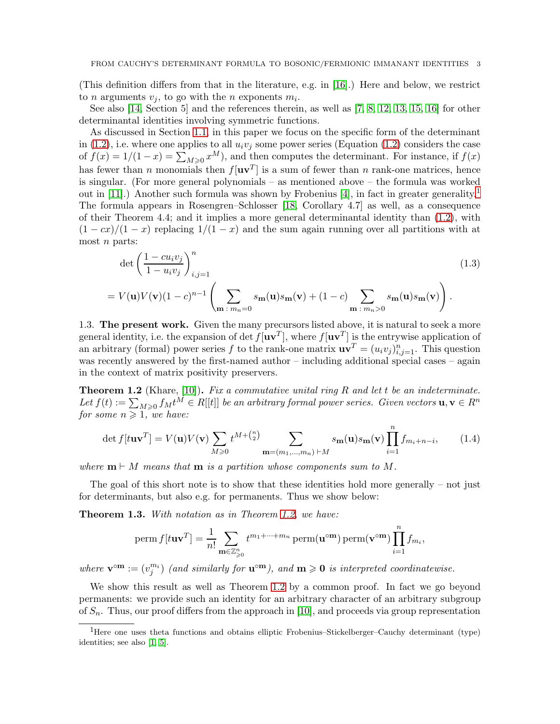(This definition differs from that in the literature, e.g. in [\[16\]](#page-10-8).) Here and below, we restrict to *n* arguments  $v_j$ , to go with the *n* exponents  $m_i$ .

See also [\[14,](#page-10-10) Section 5] and the references therein, as well as [\[7,](#page-10-11) [8,](#page-10-12) [12,](#page-10-13) [13,](#page-10-14) [15,](#page-10-15) [16\]](#page-10-8) for other determinantal identities involving symmetric functions.

As discussed in Section [1.1,](#page-0-0) in this paper we focus on the specific form of the determinant in [\(1.2\)](#page-1-2), i.e. where one applies to all  $u_i v_j$  some power series (Equation (1.2) considers the case of  $f(x) = 1/(1-x) = \sum_{M \geq 0} x^M$ , and then computes the determinant. For instance, if  $f(x)$ has fewer than n monomials then  $f[\mathbf{u}\mathbf{v}^T]$  is a sum of fewer than n rank-one matrices, hence is singular. (For more general polynomials – as mentioned above – the formula was worked out in  $[11]$  $[11]$  $[11]$ .) Another such formula was shown by Frobenius  $[4]$ , in fact in greater generality.<sup>1</sup> The formula appears in Rosengren–Schlosser [\[18,](#page-10-17) Corollary 4.7] as well, as a consequence of their Theorem 4.4; and it implies a more general determinantal identity than [\(1.2\)](#page-1-2), with  $(1 - cx)/(1 - x)$  replacing  $1/(1 - x)$  and the sum again running over all partitions with at most  $n$  parts:

$$
\det \left( \frac{1 - cu_i v_j}{1 - u_i v_j} \right)_{i,j=1}^n
$$
\n
$$
= V(\mathbf{u}) V(\mathbf{v}) (1 - c)^{n-1} \left( \sum_{\mathbf{m} \,:\, m_n = 0} s_{\mathbf{m}}(\mathbf{u}) s_{\mathbf{m}}(\mathbf{v}) + (1 - c) \sum_{\mathbf{m} \,:\, m_n > 0} s_{\mathbf{m}}(\mathbf{u}) s_{\mathbf{m}}(\mathbf{v}) \right).
$$
\n(1.3)

1.3. The present work. Given the many precursors listed above, it is natural to seek a more general identity, i.e. the expansion of det  $f[\mathbf{u}\mathbf{v}^T]$ , where  $f[\mathbf{u}\mathbf{v}^T]$  is the entrywise application of an arbitrary (formal) power series f to the rank-one matrix  $\mathbf{u}\mathbf{v}^T = (u_i v_j)_{i,j=1}^n$ . This question was recently answered by the first-named author – including additional special cases – again in the context of matrix positivity preservers.

<span id="page-2-0"></span>**Theorem 1.2** (Khare, [\[10\]](#page-10-4)). Fix a commutative unital ring R and let t be an indeterminate. Let  $f(t) := \sum_{M\geqslant 0} f_M t^M \in R[[t]]$  be an arbitrary formal power series. Given vectors  $\mathbf{u}, \mathbf{v} \in R^n$ for some  $n \geq 1$ , we have:

$$
\det f[t\mathbf{u}\mathbf{v}^T] = V(\mathbf{u})V(\mathbf{v})\sum_{M\geqslant 0} t^{M+\binom{n}{2}} \sum_{\mathbf{m}=(m_1,\dots,m_n)\,\vdash M} s_{\mathbf{m}}(\mathbf{u})s_{\mathbf{m}}(\mathbf{v})\prod_{i=1}^n f_{m_i+n-i},\qquad(1.4)
$$

where  $\mathbf{m} \vdash M$  means that  $\mathbf{m}$  is a partition whose components sum to M.

The goal of this short note is to show that these identities hold more generally – not just for determinants, but also e.g. for permanents. Thus we show below:

Theorem 1.3. With notation as in Theorem [1.2,](#page-2-0) we have:

perm 
$$
f[tuv^T] = \frac{1}{n!} \sum_{\mathbf{m} \in \mathbb{Z}_{\geq 0}^n} t^{m_1 + \dots + m_n} \operatorname{perm}(\mathbf{u}^{\circ \mathbf{m}}) \operatorname{perm}(\mathbf{v}^{\circ \mathbf{m}}) \prod_{i=1}^n f_{m_i},
$$

where  $\mathbf{v}^{\text{om}} := (v_j^{m_i})$  (and similarly for  $\mathbf{u}^{\text{om}}$ ), and  $\mathbf{m} \geq 0$  is interpreted coordinatewise.

We show this result as well as Theorem [1.2](#page-2-0) by a common proof. In fact we go beyond permanents: we provide such an identity for an arbitrary character of an arbitrary subgroup of  $S_n$ . Thus, our proof differs from the approach in [\[10\]](#page-10-4), and proceeds via group representation

<span id="page-2-1"></span><sup>1</sup>Here one uses theta functions and obtains elliptic Frobenius–Stickelberger–Cauchy determinant (type) identities; see also [\[1,](#page-10-18) [5\]](#page-10-19).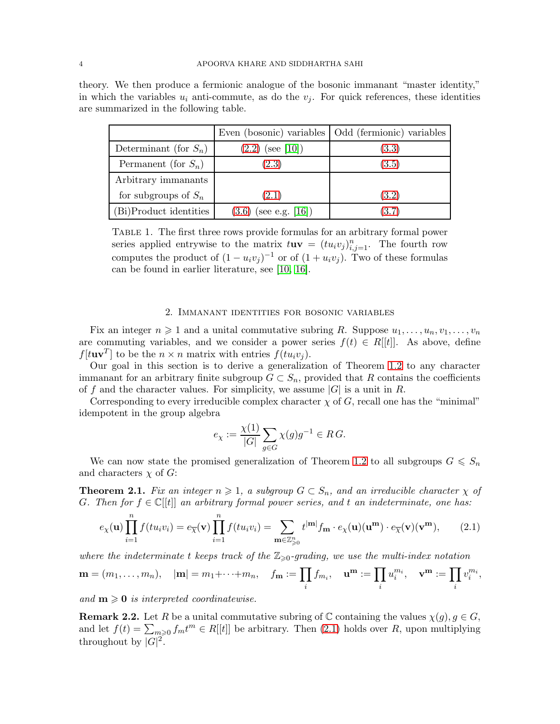|                          |                         | Even (bosonic) variables   Odd (fermionic) variables |
|--------------------------|-------------------------|------------------------------------------------------|
| Determinant (for $S_n$ ) | $(2.2)$ (see [10])      | (3.3)                                                |
| Permanent (for $S_n$ )   | (2.3)                   | (3.5)                                                |
| Arbitrary immanants      |                         |                                                      |
| for subgroups of $S_n$   | (2.1)                   | (3.2)                                                |
| (Bi)Product identities   | $(3.6)$ (see e.g. [16]) | (3.7)                                                |

theory. We then produce a fermionic analogue of the bosonic immanant "master identity," in which the variables  $u_i$  anti-commute, as do the  $v_i$ . For quick references, these identities are summarized in the following table.

Table 1. The first three rows provide formulas for an arbitrary formal power series applied entrywise to the matrix  $tuv = (tu_iv_j)_{i,j=1}^n$ . The fourth row computes the product of  $(1 - u_i v_j)^{-1}$  or of  $(1 + u_i v_j)$ . Two of these formulas can be found in earlier literature, see [\[10,](#page-10-4) [16\]](#page-10-8).

## 2. Immanant identities for bosonic variables

Fix an integer  $n \geq 1$  and a unital commutative subring R. Suppose  $u_1, \ldots, u_n, v_1, \ldots, v_n$ are commuting variables, and we consider a power series  $f(t) \in R[[t]]$ . As above, define  $f[tuv^T]$  to be the  $n \times n$  matrix with entries  $f(tuv_j)$ .

Our goal in this section is to derive a generalization of Theorem [1.2](#page-2-0) to any character immanant for an arbitrary finite subgroup  $G \subset S_n$ , provided that R contains the coefficients of f and the character values. For simplicity, we assume  $|G|$  is a unit in R.

Corresponding to every irreducible complex character  $\chi$  of G, recall one has the "minimal" idempotent in the group algebra

$$
e_{\chi} := \frac{\chi(1)}{|G|} \sum_{g \in G} \chi(g)g^{-1} \in RG.
$$

We can now state the promised generalization of Theorem [1.2](#page-2-0) to all subgroups  $G \leq S_n$ and characters  $\chi$  of G:

<span id="page-3-1"></span>**Theorem 2.1.** Fix an integer  $n \geq 1$ , a subgroup  $G \subset S_n$ , and an irreducible character  $\chi$  of G. Then for  $f \in \mathbb{C}[[t]]$  an arbitrary formal power series, and t an indeterminate, one has:

<span id="page-3-0"></span>
$$
e_{\chi}(\mathbf{u}) \prod_{i=1}^{n} f(tu_i v_i) = e_{\overline{\chi}}(\mathbf{v}) \prod_{i=1}^{n} f(tu_i v_i) = \sum_{\mathbf{m} \in \mathbb{Z}_{\geq 0}^n} t^{|\mathbf{m}|} f_{\mathbf{m}} \cdot e_{\chi}(\mathbf{u})(\mathbf{u}^{\mathbf{m}}) \cdot e_{\overline{\chi}}(\mathbf{v})(\mathbf{v}^{\mathbf{m}}), \qquad (2.1)
$$

where the indeterminate t keeps track of the  $\mathbb{Z}_{\geq 0}$ -grading, we use the multi-index notation

$$
\mathbf{m} = (m_1, \dots, m_n), \quad |\mathbf{m}| = m_1 + \dots + m_n, \quad f_\mathbf{m} := \prod_i f_{m_i}, \quad \mathbf{u}^\mathbf{m} := \prod_i u_i^{m_i}, \quad \mathbf{v}^\mathbf{m} := \prod_i v_i^{m_i},
$$

and  $m \geqslant 0$  is interpreted coordinatewise.

<span id="page-3-2"></span>**Remark 2.2.** Let R be a unital commutative subring of C containing the values  $\chi(q)$ ,  $q \in G$ , and let  $f(t) = \sum_{m\geq 0} f_m t^m \in R[[t]]$  be arbitrary. Then [\(2.1\)](#page-3-0) holds over R, upon multiplying throughout by  $|G|^2$ .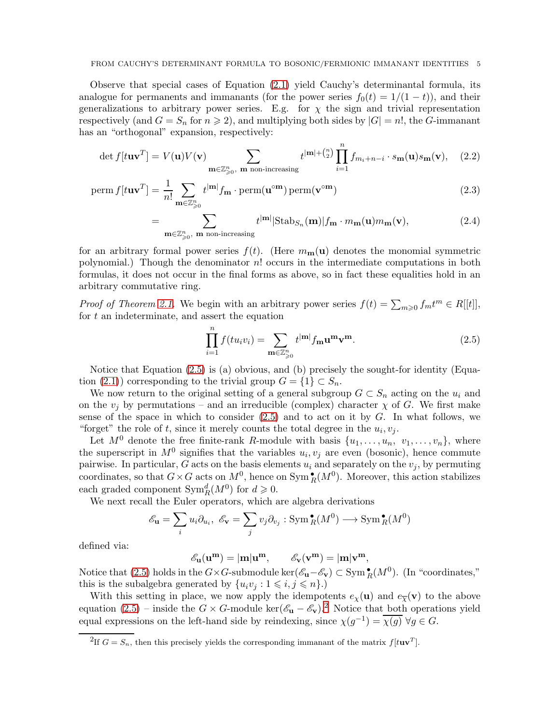Observe that special cases of Equation [\(2.1\)](#page-3-0) yield Cauchy's determinantal formula, its analogue for permanents and immanants (for the power series  $f_0(t) = 1/(1-t)$ ), and their generalizations to arbitrary power series. E.g. for  $\chi$  the sign and trivial representation respectively (and  $G = S_n$  for  $n \ge 2$ ), and multiplying both sides by  $|G| = n!$ , the G-immanant has an "orthogonal" expansion, respectively:

$$
\det f[t\mathbf{u}\mathbf{v}^T] = V(\mathbf{u})V(\mathbf{v}) \sum_{\mathbf{m}\in\mathbb{Z}_{\geqslant 0}^n, \mathbf{m} \text{ non-increasing}} t^{|\mathbf{m}| + {n \choose 2}} \prod_{i=1}^n f_{m_i + n - i} \cdot s_{\mathbf{m}}(\mathbf{u}) s_{\mathbf{m}}(\mathbf{v}), \quad (2.2)
$$

perm 
$$
f[tuv^T] = \frac{1}{n!} \sum_{\mathbf{m} \in \mathbb{Z}_{\geqslant 0}^n} t^{|\mathbf{m}|} f_{\mathbf{m}} \cdot \text{perm}(u^{\circ \mathbf{m}}) \text{perm}(v^{\circ \mathbf{m}})
$$
 (2.3)

<span id="page-4-0"></span>
$$
\sum_{\mathbf{m}\in\mathbb{Z}_{\geqslant0}^n,\ \mathbf{m}\ \text{non-increasing}} t^{|\mathbf{m}|} |\text{Stab}_{S_n}(\mathbf{m})| f_{\mathbf{m}} \cdot m_{\mathbf{m}}(\mathbf{u}) m_{\mathbf{m}}(\mathbf{v}),\tag{2.4}
$$

for an arbitrary formal power series  $f(t)$ . (Here  $m_{\mathbf{m}}(\mathbf{u})$  denotes the monomial symmetric polynomial.) Though the denominator  $n!$  occurs in the intermediate computations in both formulas, it does not occur in the final forms as above, so in fact these equalities hold in an arbitrary commutative ring.

*Proof of Theorem [2.1.](#page-3-1)* We begin with an arbitrary power series  $f(t) = \sum_{m\geqslant 0} f_m t^m \in R[[t]]$ , for  $t$  an indeterminate, and assert the equation

<span id="page-4-2"></span><span id="page-4-1"></span>
$$
\prod_{i=1}^{n} f(tu_i v_i) = \sum_{\mathbf{m} \in \mathbb{Z}_{\geqslant 0}^n} t^{|\mathbf{m}|} f_{\mathbf{m}} \mathbf{u}^{\mathbf{m}} \mathbf{v}^{\mathbf{m}}.
$$
\n(2.5)

Notice that Equation [\(2.5\)](#page-4-2) is (a) obvious, and (b) precisely the sought-for identity (Equa-tion [\(2.1\)](#page-3-0)) corresponding to the trivial group  $G = \{1\} \subset S_n$ .

We now return to the original setting of a general subgroup  $G \subset S_n$  acting on the  $u_i$  and on the  $v_j$  by permutations – and an irreducible (complex) character  $\chi$  of G. We first make sense of the space in which to consider  $(2.5)$  and to act on it by  $G$ . In what follows, we "forget" the role of t, since it merely counts the total degree in the  $u_i, v_j$ .

Let  $M^0$  denote the free finite-rank R-module with basis  $\{u_1, \ldots, u_n, v_1, \ldots, v_n\}$ , where the superscript in  $M^0$  signifies that the variables  $u_i, v_j$  are even (bosonic), hence commute pairwise. In particular, G acts on the basis elements  $u_i$  and separately on the  $v_i$ , by permuting coordinates, so that  $G \times G$  acts on  $M^0$ , hence on  $\text{Sym}_R^{\bullet}(M^0)$ . Moreover, this action stabilizes each graded component  $\text{Sym}_R^d(M^0)$  for  $d \geqslant 0$ .

We next recall the Euler operators, which are algebra derivations

$$
\mathcal{E}_{\mathbf{u}} = \sum_{i} u_i \partial_{u_i}, \ \mathcal{E}_{\mathbf{v}} = \sum_{j} v_j \partial_{v_j} : \operatorname{Sym}^{\bullet}_R(M^0) \longrightarrow \operatorname{Sym}^{\bullet}_R(M^0)
$$

defined via:

=

 $\mathscr{E}_{\mathbf{u}}(\mathbf{u}^{\mathbf{m}}) = |\mathbf{m}|\mathbf{u}^{\mathbf{m}}, \qquad \mathscr{E}_{\mathbf{v}}(\mathbf{v}^{\mathbf{m}}) = |\mathbf{m}|\mathbf{v}^{\mathbf{m}},$ 

Notice that [\(2.5\)](#page-4-2) holds in the  $G \times G$ -submodule ker $(\mathscr{E}_{\mathbf{u}} - \mathscr{E}_{\mathbf{v}}) \subset \text{Sym}^{\bullet}_R(M^0)$ . (In "coordinates," this is the subalgebra generated by  $\{u_i v_j : 1 \leq i, j \leq n\}.$ 

With this setting in place, we now apply the idempotents  $e_\chi(\mathbf{u})$  and  $e_{\overline{\chi}}(\mathbf{v})$  to the above equation [\(2.5\)](#page-4-2) – inside the  $G \times G$ -module ker( $\mathscr{E}_{\mathbf{u}} - \mathscr{E}_{\mathbf{v}}$ ).<sup>[2](#page-4-3)</sup> Notice that both operations yield equal expressions on the left-hand side by reindexing, since  $\chi(g^{-1}) = \overline{\chi(g)} \,\forall g \in G$ .

<span id="page-4-3"></span><sup>&</sup>lt;sup>2</sup>If  $G = S_n$ , then this precisely yields the corresponding immanant of the matrix  $f[tuv^T]$ .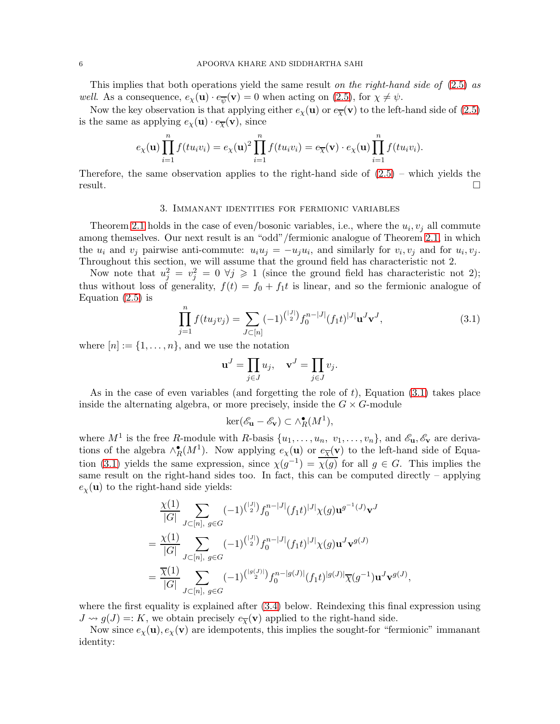This implies that both operations yield the same result on the right-hand side of [\(2.5\)](#page-4-2) as *well.* As a consequence,  $e_{\chi}(\mathbf{u}) \cdot e_{\overline{\psi}}(\mathbf{v}) = 0$  when acting on [\(2.5\)](#page-4-2), for  $\chi \neq \psi$ .

Now the key observation is that applying either  $e_\chi(\mathbf{u})$  or  $e_{\overline{\chi}}(\mathbf{v})$  to the left-hand side of [\(2.5\)](#page-4-2) is the same as applying  $e_\chi(\mathbf{u}) \cdot e_{\overline{\chi}}(\mathbf{v})$ , since

$$
e_{\chi}(\mathbf{u})\prod_{i=1}^n f(tu_iv_i) = e_{\chi}(\mathbf{u})^2 \prod_{i=1}^n f(tu_iv_i) = e_{\overline{\chi}}(\mathbf{v}) \cdot e_{\chi}(\mathbf{u}) \prod_{i=1}^n f(tu_iv_i).
$$

Therefore, the same observation applies to the right-hand side of  $(2.5)$  – which yields the result.  $\square$ 

#### 3. Immanant identities for fermionic variables

Theorem [2.1](#page-3-1) holds in the case of even/bosonic variables, i.e., where the  $u_i, v_j$  all commute among themselves. Our next result is an "odd"/fermionic analogue of Theorem [2.1,](#page-3-1) in which the  $u_i$  and  $v_j$  pairwise anti-commute:  $u_i u_j = -u_j u_i$ , and similarly for  $v_i, v_j$  and for  $u_i, v_j$ . Throughout this section, we will assume that the ground field has characteristic not 2.

Now note that  $u_j^2 = v_j^2 = 0 \forall j \geq 1$  (since the ground field has characteristic not 2); thus without loss of generality,  $f(t) = f_0 + f_1 t$  is linear, and so the fermionic analogue of Equation  $(2.5)$  is

<span id="page-5-0"></span>
$$
\prod_{j=1}^{n} f(tu_jv_j) = \sum_{J \subset [n]} (-1)^{\binom{|J|}{2}} f_0^{n-|J|} (f_1 t)^{|J|} \mathbf{u}^J \mathbf{v}^J,
$$
\n(3.1)

where  $[n] := \{1, \ldots, n\}$ , and we use the notation

$$
\mathbf{u}^J = \prod_{j \in J} u_j, \quad \mathbf{v}^J = \prod_{j \in J} v_j.
$$

As in the case of even variables (and forgetting the role of  $t$ ), Equation [\(3.1\)](#page-5-0) takes place inside the alternating algebra, or more precisely, inside the  $G \times G$ -module

$$
\ker(\mathscr{E}_{\mathbf{u}} - \mathscr{E}_{\mathbf{v}}) \subset \wedge_R^{\bullet}(M^1),
$$

where  $M^1$  is the free R-module with R-basis  $\{u_1, \ldots, u_n, v_1, \ldots, v_n\}$ , and  $\mathscr{E}_\mathbf{u}, \mathscr{E}_\mathbf{v}$  are derivations of the algebra  $\wedge_R^{\bullet}(M^1)$ . Now applying  $e_\chi(\mathbf{u})$  or  $\underline{e}_{\overline{\chi}}(\mathbf{v})$  to the left-hand side of Equa-tion [\(3.1\)](#page-5-0) yields the same expression, since  $\chi(g^{-1}) = \overline{\chi(g)}$  for all  $g \in G$ . This implies the same result on the right-hand sides too. In fact, this can be computed directly – applying  $e_{\chi}(\mathbf{u})$  to the right-hand side yields:

$$
\frac{\chi(1)}{|G|} \sum_{J \subset [n], g \in G} (-1)^{\binom{|J|}{2}} f_0^{n-|J|} (f_1 t)^{|J|} \chi(g) \mathbf{u}^{g^{-1}(J)} \mathbf{v}^J
$$
\n
$$
= \frac{\chi(1)}{|G|} \sum_{J \subset [n], g \in G} (-1)^{\binom{|J|}{2}} f_0^{n-|J|} (f_1 t)^{|J|} \chi(g) \mathbf{u}^J \mathbf{v}^{g(J)}
$$
\n
$$
= \frac{\overline{\chi}(1)}{|G|} \sum_{J \subset [n], g \in G} (-1)^{\binom{|g(J)|}{2}} f_0^{n-|g(J)|} (f_1 t)^{|g(J)|} \overline{\chi}(g^{-1}) \mathbf{u}^J \mathbf{v}^{g(J)},
$$

where the first equality is explained after  $(3.4)$  below. Reindexing this final expression using  $J \rightsquigarrow g(J) =: K$ , we obtain precisely  $e_{\overline{\chi}}(\mathbf{v})$  applied to the right-hand side.

Now since  $e_\chi(\mathbf{u}), e_\chi(\mathbf{v})$  are idempotents, this implies the sought-for "fermionic" immanant identity: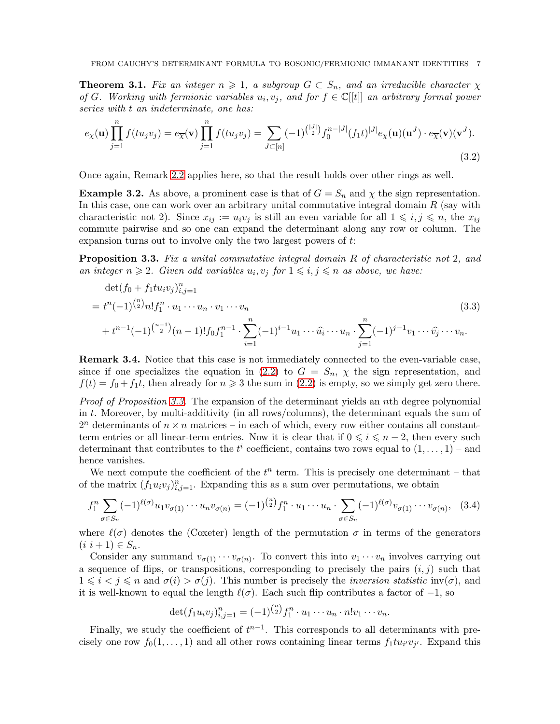**Theorem 3.1.** Fix an integer  $n \geq 1$ , a subgroup  $G \subset S_n$ , and an irreducible character  $\chi$ of G. Working with fermionic variables  $u_i, v_j$ , and for  $f \in \mathbb{C}[[t]]$  an arbitrary formal power series with t an indeterminate, one has:

<span id="page-6-1"></span>
$$
e_{\chi}(\mathbf{u}) \prod_{j=1}^{n} f(tu_j v_j) = e_{\overline{\chi}}(\mathbf{v}) \prod_{j=1}^{n} f(tu_j v_j) = \sum_{J \subset [n]} (-1)^{\binom{|J|}{2}} f_0^{n-|J|} (f_1 t)^{|J|} e_{\chi}(\mathbf{u})(\mathbf{u}^J) \cdot e_{\overline{\chi}}(\mathbf{v})(\mathbf{v}^J).
$$
\n(3.2)

Once again, Remark [2.2](#page-3-2) applies here, so that the result holds over other rings as well.

**Example 3.2.** As above, a prominent case is that of  $G = S_n$  and  $\chi$  the sign representation. In this case, one can work over an arbitrary unital commutative integral domain  $R$  (say with characteristic not 2). Since  $x_{ij} := u_i v_j$  is still an even variable for all  $1 \leq i, j \leq n$ , the  $x_{ij}$ commute pairwise and so one can expand the determinant along any row or column. The expansion turns out to involve only the two largest powers of t:

<span id="page-6-3"></span>**Proposition 3.3.** Fix a unital commutative integral domain R of characteristic not 2, and an integer  $n \geq 2$ . Given odd variables  $u_i, v_j$  for  $1 \leq i, j \leq n$  as above, we have:

<span id="page-6-0"></span>
$$
\det(f_0 + f_1 t u_i v_j)_{i,j=1}^n
$$
\n
$$
= t^n (-1)^{\binom{n}{2}} n! f_1^n \cdot u_1 \cdots u_n \cdot v_1 \cdots v_n
$$
\n
$$
+ t^{n-1} (-1)^{\binom{n-1}{2}} (n-1)! f_0 f_1^{n-1} \cdot \sum_{i=1}^n (-1)^{i-1} u_1 \cdots \widehat{u_i} \cdots u_n \cdot \sum_{j=1}^n (-1)^{j-1} v_1 \cdots \widehat{v_j} \cdots v_n.
$$
\n(3.3)

Remark 3.4. Notice that this case is not immediately connected to the even-variable case, since if one specializes the equation in [\(2.2\)](#page-4-0) to  $G = S_n$ ,  $\chi$  the sign representation, and  $f(t) = f_0 + f_1 t$ , then already for  $n \geq 3$  the sum in [\(2.2\)](#page-4-0) is empty, so we simply get zero there.

Proof of Proposition [3.3.](#page-6-3) The expansion of the determinant yields an nth degree polynomial in t. Moreover, by multi-additivity (in all rows/columns), the determinant equals the sum of  $2^n$  determinants of  $n \times n$  matrices – in each of which, every row either contains all constantterm entries or all linear-term entries. Now it is clear that if  $0 \leq i \leq n-2$ , then every such determinant that contributes to the  $t^i$  coefficient, contains two rows equal to  $(1,\ldots,1)$  – and hence vanishes.

We next compute the coefficient of the  $t^n$  term. This is precisely one determinant – that of the matrix  $(f_1 u_i v_j)_{i,j=1}^n$ . Expanding this as a sum over permutations, we obtain

<span id="page-6-2"></span>
$$
f_1^n \sum_{\sigma \in S_n} (-1)^{\ell(\sigma)} u_1 v_{\sigma(1)} \cdots u_n v_{\sigma(n)} = (-1)^{\binom{n}{2}} f_1^n \cdot u_1 \cdots u_n \cdot \sum_{\sigma \in S_n} (-1)^{\ell(\sigma)} v_{\sigma(1)} \cdots v_{\sigma(n)}, \quad (3.4)
$$

where  $\ell(\sigma)$  denotes the (Coxeter) length of the permutation  $\sigma$  in terms of the generators  $(i \; i+1) \in S_n$ .

Consider any summand  $v_{\sigma(1)} \cdots v_{\sigma(n)}$ . To convert this into  $v_1 \cdots v_n$  involves carrying out a sequence of flips, or transpositions, corresponding to precisely the pairs  $(i, j)$  such that  $1 \leq i < j \leq n$  and  $\sigma(i) > \sigma(j)$ . This number is precisely the *inversion statistic* inv( $\sigma$ ), and it is well-known to equal the length  $\ell(\sigma)$ . Each such flip contributes a factor of  $-1$ , so

$$
\det(f_1u_iv_j)_{i,j=1}^n = (-1)^{\binom{n}{2}} f_1^n \cdot u_1 \cdots u_n \cdot n! v_1 \cdots v_n.
$$

Finally, we study the coefficient of  $t^{n-1}$ . This corresponds to all determinants with precisely one row  $f_0(1,\ldots,1)$  and all other rows containing linear terms  $f_1 t u_{i'} v_{j'}$ . Expand this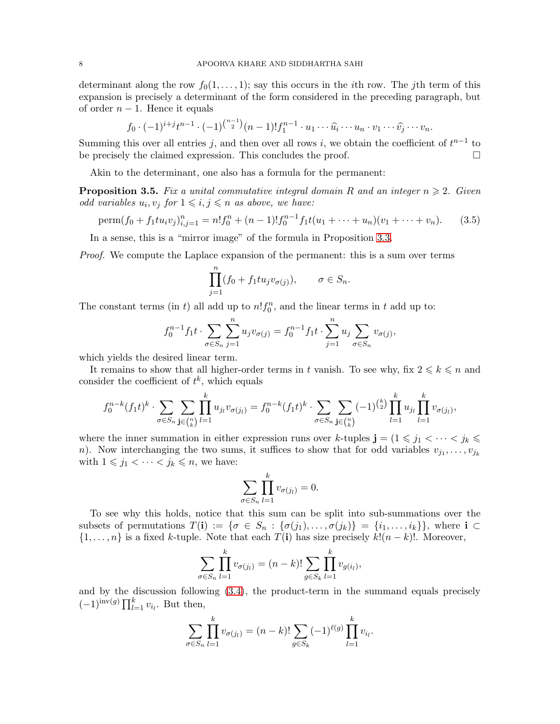determinant along the row  $f_0(1, \ldots, 1)$ ; say this occurs in the *i*th row. The *j*th term of this expansion is precisely a determinant of the form considered in the preceding paragraph, but of order  $n-1$ . Hence it equals

$$
f_0 \cdot (-1)^{i+j} t^{n-1} \cdot (-1)^{\binom{n-1}{2}} (n-1)! f_1^{n-1} \cdot u_1 \cdots \widehat{u_i} \cdots u_n \cdot v_1 \cdots \widehat{v_j} \cdots v_n.
$$

Summing this over all entries j, and then over all rows i, we obtain the coefficient of  $t^{n-1}$  to be precisely the claimed expression. This concludes the proof.  $\Box$ 

Akin to the determinant, one also has a formula for the permanent:

<span id="page-7-1"></span>**Proposition 3.5.** Fix a unital commutative integral domain R and an integer  $n \geq 2$ . Given odd variables  $u_i, v_j$  for  $1 \leqslant i, j \leqslant n$  as above, we have:

<span id="page-7-0"></span>perm
$$
(f_0 + f_1 t u_i v_j)_{i,j=1}^n = n! f_0^n + (n-1)! f_0^{n-1} f_1 t (u_1 + \cdots + u_n) (v_1 + \cdots + v_n).
$$
 (3.5)

In a sense, this is a "mirror image" of the formula in Proposition [3.3.](#page-6-3)

Proof. We compute the Laplace expansion of the permanent: this is a sum over terms

$$
\prod_{j=1}^{n} (f_0 + f_1 t u_j v_{\sigma(j)}), \qquad \sigma \in S_n.
$$

The constant terms (in t) all add up to  $n!f_0^n$ , and the linear terms in t add up to:

$$
f_0^{n-1} f_1 t \cdot \sum_{\sigma \in S_n} \sum_{j=1}^n u_j v_{\sigma(j)} = f_0^{n-1} f_1 t \cdot \sum_{j=1}^n u_j \sum_{\sigma \in S_n} v_{\sigma(j)},
$$

which yields the desired linear term.

It remains to show that all higher-order terms in t vanish. To see why, fix  $2 \leq k \leq n$  and consider the coefficient of  $t^k$ , which equals

$$
f_0^{n-k}(f_1t)^k \cdot \sum_{\sigma \in S_n} \sum_{\mathbf{j} \in {n \choose k}} \prod_{l=1}^k u_{j_l} v_{\sigma(j_l)} = f_0^{n-k}(f_1t)^k \cdot \sum_{\sigma \in S_n} \sum_{\mathbf{j} \in {n \choose k}} (-1)^{\binom{k}{2}} \prod_{l=1}^k u_{j_l} \prod_{l=1}^k v_{\sigma(j_l)},
$$

where the inner summation in either expression runs over k-tuples  $\mathbf{j} = (1 \leq j_1 < \cdots < j_k \leq$ n). Now interchanging the two sums, it suffices to show that for odd variables  $v_{j_1}, \ldots, v_{j_k}$ with  $1 \leq j_1 < \cdots < j_k \leq n$ , we have:

$$
\sum_{\sigma \in S_n} \prod_{l=1}^k v_{\sigma(j_l)} = 0.
$$

To see why this holds, notice that this sum can be split into sub-summations over the subsets of permutations  $T(\mathbf{i}) := \{ \sigma \in S_n : \{ \sigma(j_1), \ldots, \sigma(j_k) \} = \{ i_1, \ldots, i_k \} \}$ , where  $\mathbf{i} \subset \mathbf{j}$  $\{1, \ldots, n\}$  is a fixed k-tuple. Note that each  $T(i)$  has size precisely  $k!(n-k)!$ . Moreover,

$$
\sum_{\sigma \in S_n} \prod_{l=1}^k v_{\sigma(j_l)} = (n-k)! \sum_{g \in S_k} \prod_{l=1}^k v_{g(i_l)},
$$

and by the discussion following [\(3.4\)](#page-6-2), the product-term in the summand equals precisely  $(-1)^{\mathrm{inv}(g)} \prod_{l=1}^k v_{i_l}$ . But then,

$$
\sum_{\sigma \in S_n} \prod_{l=1}^k v_{\sigma(j_l)} = (n-k)! \sum_{g \in S_k} (-1)^{\ell(g)} \prod_{l=1}^k v_{i_l}.
$$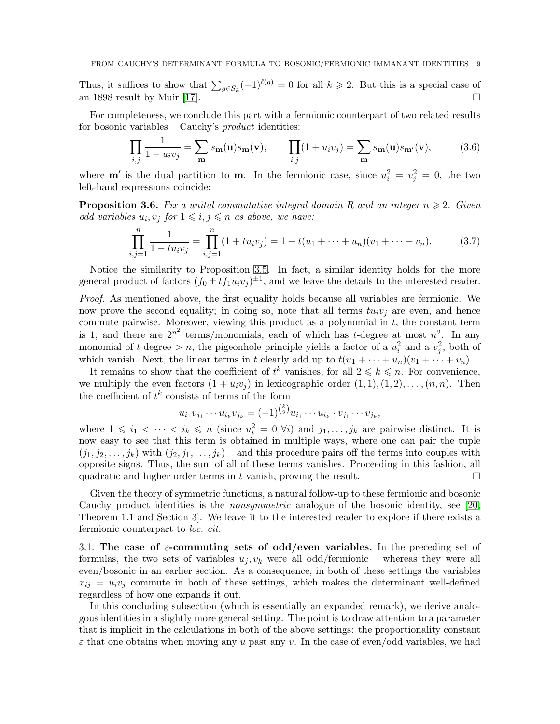Thus, it suffices to show that  $\sum_{g \in S_k} (-1)^{\ell(g)} = 0$  for all  $k \geq 2$ . But this is a special case of an 1898 result by Muir [\[17\]](#page-10-20).  $\square$ 

For completeness, we conclude this part with a fermionic counterpart of two related results for bosonic variables – Cauchy's product identities:

<span id="page-8-0"></span>
$$
\prod_{i,j} \frac{1}{1 - u_i v_j} = \sum_{\mathbf{m}} s_{\mathbf{m}}(\mathbf{u}) s_{\mathbf{m}}(\mathbf{v}), \qquad \prod_{i,j} (1 + u_i v_j) = \sum_{\mathbf{m}} s_{\mathbf{m}}(\mathbf{u}) s_{\mathbf{m}'}(\mathbf{v}), \tag{3.6}
$$

where **m'** is the dual partition to **m**. In the fermionic case, since  $u_i^2 = v_j^2 = 0$ , the two left-hand expressions coincide:

**Proposition 3.6.** Fix a unital commutative integral domain R and an integer  $n \geq 2$ . Given odd variables  $u_i, v_j$  for  $1 \leqslant i, j \leqslant n$  as above, we have:

<span id="page-8-1"></span>
$$
\prod_{i,j=1}^{n} \frac{1}{1 - tu_i v_j} = \prod_{i,j=1}^{n} (1 + tu_i v_j) = 1 + t(u_1 + \dots + u_n)(v_1 + \dots + v_n).
$$
 (3.7)

Notice the similarity to Proposition [3.5.](#page-7-1) In fact, a similar identity holds for the more general product of factors  $(f_0 \pm t f_1 u_i v_j)^{\pm 1}$ , and we leave the details to the interested reader.

Proof. As mentioned above, the first equality holds because all variables are fermionic. We now prove the second equality; in doing so, note that all terms  $tu_iv_j$  are even, and hence commute pairwise. Moreover, viewing this product as a polynomial in t, the constant term is 1, and there are  $2^{n^2}$  terms/monomials, each of which has t-degree at most  $n^2$ . In any monomial of t-degree  $>n$ , the pigeonhole principle yields a factor of a  $u_i^2$  and a  $v_j^2$ , both of which vanish. Next, the linear terms in t clearly add up to  $t(u_1 + \cdots + u_n)(v_1 + \cdots + v_n)$ .

It remains to show that the coefficient of  $t^k$  vanishes, for all  $2 \leq k \leq n$ . For convenience, we multiply the even factors  $(1 + u_i v_j)$  in lexicographic order  $(1, 1), (1, 2), \ldots, (n, n)$ . Then the coefficient of  $t^k$  consists of terms of the form

$$
u_{i_1}v_{j_1}\cdots u_{i_k}v_{j_k}=(-1)^{\binom{k}{2}}u_{i_1}\cdots u_{i_k}\cdot v_{j_1}\cdots v_{j_k},
$$

where  $1 \leq i_1 < \cdots < i_k \leq n$  (since  $u_i^2 = 0$   $\forall i$ ) and  $j_1, \ldots, j_k$  are pairwise distinct. It is now easy to see that this term is obtained in multiple ways, where one can pair the tuple  $(j_1, j_2, \ldots, j_k)$  with  $(j_2, j_1, \ldots, j_k)$  – and this procedure pairs off the terms into couples with opposite signs. Thus, the sum of all of these terms vanishes. Proceeding in this fashion, all quadratic and higher order terms in t vanish, proving the result.  $\Box$ 

Given the theory of symmetric functions, a natural follow-up to these fermionic and bosonic Cauchy product identities is the nonsymmetric analogue of the bosonic identity, see [\[20,](#page-10-21) Theorem 1.1 and Section 3]. We leave it to the interested reader to explore if there exists a fermionic counterpart to loc. cit.

3.1. The case of  $\varepsilon$ -commuting sets of odd/even variables. In the preceding set of formulas, the two sets of variables  $u_j, v_k$  were all odd/fermionic – whereas they were all even/bosonic in an earlier section. As a consequence, in both of these settings the variables  $x_{ij} = u_i v_j$  commute in both of these settings, which makes the determinant well-defined regardless of how one expands it out.

In this concluding subsection (which is essentially an expanded remark), we derive analogous identities in a slightly more general setting. The point is to draw attention to a parameter that is implicit in the calculations in both of the above settings: the proportionality constant  $\varepsilon$  that one obtains when moving any u past any v. In the case of even/odd variables, we had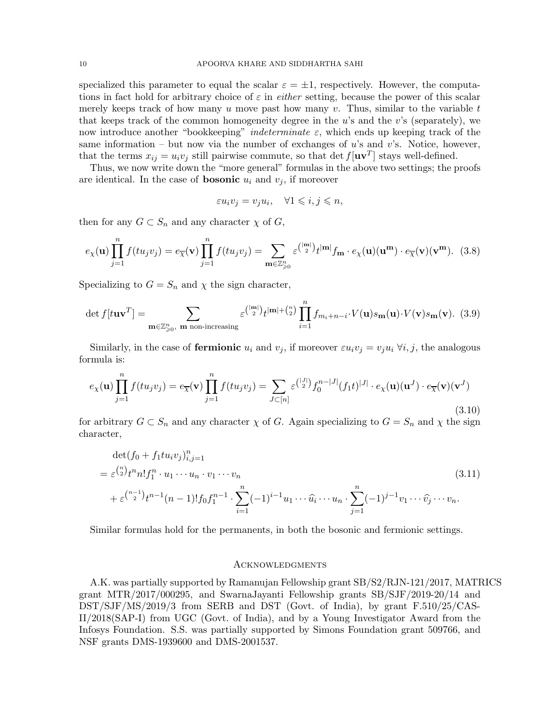specialized this parameter to equal the scalar  $\varepsilon = \pm 1$ , respectively. However, the computations in fact hold for arbitrary choice of  $\varepsilon$  in *either* setting, because the power of this scalar merely keeps track of how many  $u$  move past how many  $v$ . Thus, similar to the variable  $t$ that keeps track of the common homogeneity degree in the  $u$ 's and the  $v$ 's (separately), we now introduce another "bookkeeping" *indeterminate*  $\varepsilon$ , which ends up keeping track of the same information – but now via the number of exchanges of  $u$ 's and  $v$ 's. Notice, however, that the terms  $x_{ij} = u_i v_j$  still pairwise commute, so that  $\det f[\mathbf{u}\mathbf{v}^T]$  stays well-defined.

Thus, we now write down the "more general" formulas in the above two settings; the proofs are identical. In the case of **bosonic**  $u_i$  and  $v_j$ , if moreover

$$
\varepsilon u_i v_j = v_j u_i, \quad \forall 1 \leqslant i, j \leqslant n,
$$

then for any  $G \subset S_n$  and any character  $\chi$  of  $G$ ,

$$
e_{\chi}(\mathbf{u}) \prod_{j=1}^{n} f(tu_j v_j) = e_{\overline{\chi}}(\mathbf{v}) \prod_{j=1}^{n} f(tu_j v_j) = \sum_{\mathbf{m} \in \mathbb{Z}_{\geq 0}^n} \varepsilon^{\binom{|\mathbf{m}|}{2}} t^{|\mathbf{m}|} f_{\mathbf{m}} \cdot e_{\chi}(\mathbf{u})(\mathbf{u}^{\mathbf{m}}) \cdot e_{\overline{\chi}}(\mathbf{v})(\mathbf{v}^{\mathbf{m}}). \tag{3.8}
$$

Specializing to  $G = S_n$  and  $\chi$  the sign character,

$$
\det f[t\mathbf{u}\mathbf{v}^T] = \sum_{\mathbf{m}\in\mathbb{Z}_{\geqslant0}^n, \mathbf{m} \text{ non-increasing}} \varepsilon^{\binom{|\mathbf{m}|}{2}} t^{|\mathbf{m}| + \binom{n}{2}} \prod_{i=1}^n f_{m_i+n-i} \cdot V(\mathbf{u}) s_{\mathbf{m}}(\mathbf{u}) \cdot V(\mathbf{v}) s_{\mathbf{m}}(\mathbf{v}). \tag{3.9}
$$

Similarly, in the case of **fermionic**  $u_i$  and  $v_j$ , if moreover  $\varepsilon u_i v_j = v_j u_i \ \forall i, j$ , the analogous formula is:

$$
e_{\chi}(\mathbf{u}) \prod_{j=1}^{n} f(tu_j v_j) = e_{\overline{\chi}}(\mathbf{v}) \prod_{j=1}^{n} f(tu_j v_j) = \sum_{J \subset [n]} \varepsilon^{\binom{|J|}{2}} f_0^{n-|J|} (f_1 t)^{|J|} \cdot e_{\chi}(\mathbf{u})(\mathbf{u}^J) \cdot e_{\overline{\chi}}(\mathbf{v})(\mathbf{v}^J)
$$
\n(3.10)

for arbitrary  $G \subset S_n$  and any character  $\chi$  of G. Again specializing to  $G = S_n$  and  $\chi$  the sign character,

$$
\det(f_0 + f_1 t u_i v_j)_{i,j=1}^n
$$
\n
$$
= \varepsilon {n \choose 2} t^n n! f_1^n \cdot u_1 \cdots u_n \cdot v_1 \cdots v_n
$$
\n
$$
+ \varepsilon {n-1 \choose 2} t^{n-1} (n-1)! f_0 f_1^{n-1} \cdot \sum_{i=1}^n (-1)^{i-1} u_1 \cdots \widehat{u}_i \cdots u_n \cdot \sum_{j=1}^n (-1)^{j-1} v_1 \cdots \widehat{v}_j \cdots v_n.
$$
\n(3.11)

Similar formulas hold for the permanents, in both the bosonic and fermionic settings.

#### **ACKNOWLEDGMENTS**

A.K. was partially supported by Ramanujan Fellowship grant SB/S2/RJN-121/2017, MATRICS grant MTR/2017/000295, and SwarnaJayanti Fellowship grants SB/SJF/2019-20/14 and DST/SJF/MS/2019/3 from SERB and DST (Govt. of India), by grant F.510/25/CAS-II/2018(SAP-I) from UGC (Govt. of India), and by a Young Investigator Award from the Infosys Foundation. S.S. was partially supported by Simons Foundation grant 509766, and NSF grants DMS-1939600 and DMS-2001537.